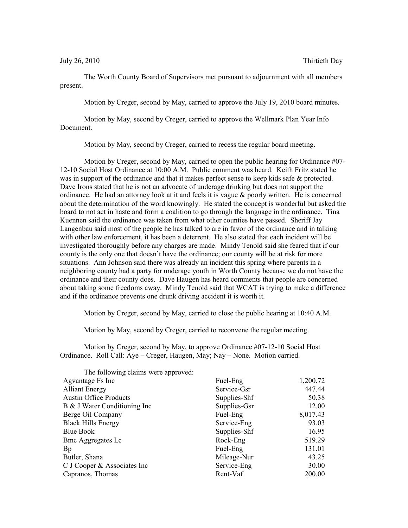July 26, 2010 Thirtieth Day

The Worth County Board of Supervisors met pursuant to adjournment with all members present.

Motion by Creger, second by May, carried to approve the July 19, 2010 board minutes.

Motion by May, second by Creger, carried to approve the Wellmark Plan Year Info Document.

Motion by May, second by Creger, carried to recess the regular board meeting.

Motion by Creger, second by May, carried to open the public hearing for Ordinance #07- 12-10 Social Host Ordinance at 10:00 A.M. Public comment was heard. Keith Fritz stated he was in support of the ordinance and that it makes perfect sense to keep kids safe & protected. Dave Irons stated that he is not an advocate of underage drinking but does not support the ordinance. He had an attorney look at it and feels it is vague & poorly written. He is concerned about the determination of the word knowingly. He stated the concept is wonderful but asked the board to not act in haste and form a coalition to go through the language in the ordinance. Tina Kuennen said the ordinance was taken from what other counties have passed. Sheriff Jay Langenbau said most of the people he has talked to are in favor of the ordinance and in talking with other law enforcement, it has been a deterrent. He also stated that each incident will be investigated thoroughly before any charges are made. Mindy Tenold said she feared that if our county is the only one that doesn't have the ordinance; our county will be at risk for more situations. Ann Johnson said there was already an incident this spring where parents in a neighboring county had a party for underage youth in Worth County because we do not have the ordinance and their county does. Dave Haugen has heard comments that people are concerned about taking some freedoms away. Mindy Tenold said that WCAT is trying to make a difference and if the ordinance prevents one drunk driving accident it is worth it.

Motion by Creger, second by May, carried to close the public hearing at 10:40 A.M.

Motion by May, second by Creger, carried to reconvene the regular meeting.

Motion by Creger, second by May, to approve Ordinance #07-12-10 Social Host Ordinance. Roll Call: Aye – Creger, Haugen, May; Nay – None. Motion carried.

| The following claims were approved: |              |          |
|-------------------------------------|--------------|----------|
| Agvantage Fs Inc                    | Fuel-Eng     | 1,200.72 |
| <b>Alliant Energy</b>               | Service-Gsr  | 447.44   |
| <b>Austin Office Products</b>       | Supplies-Shf | 50.38    |
| B & J Water Conditioning Inc        | Supplies-Gsr | 12.00    |
| Berge Oil Company                   | Fuel-Eng     | 8,017.43 |
| <b>Black Hills Energy</b>           | Service-Eng  | 93.03    |
| <b>Blue Book</b>                    | Supplies-Shf | 16.95    |
| <b>Bmc Aggregates Lc</b>            | Rock-Eng     | 519.29   |
| Bp                                  | Fuel-Eng     | 131.01   |
| Butler, Shana                       | Mileage-Nur  | 43.25    |
| C J Cooper & Associates Inc         | Service-Eng  | 30.00    |
| Capranos, Thomas                    | Rent-Vaf     | 200.00   |
|                                     |              |          |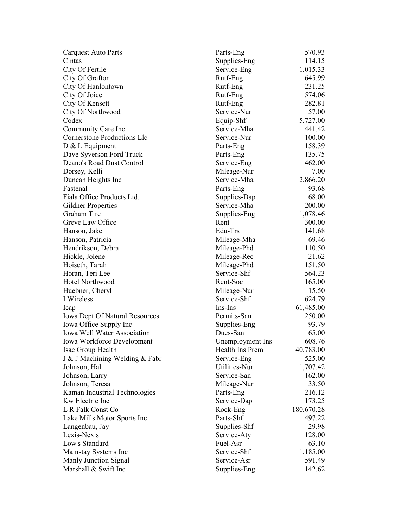| <b>Carquest Auto Parts</b>            | Parts-Eng        | 570.93     |
|---------------------------------------|------------------|------------|
| Cintas                                | Supplies-Eng     | 114.15     |
| City Of Fertile                       | Service-Eng      | 1,015.33   |
| City Of Grafton                       | Rutf-Eng         | 645.99     |
| City Of Hanlontown                    | Rutf-Eng         | 231.25     |
| City Of Joice                         | Rutf-Eng         | 574.06     |
| City Of Kensett                       | Rutf-Eng         | 282.81     |
| City Of Northwood                     | Service-Nur      | 57.00      |
| Codex                                 | Equip-Shf        | 5,727.00   |
| Community Care Inc                    | Service-Mha      | 441.42     |
| <b>Cornerstone Productions Llc</b>    | Service-Nur      | 100.00     |
| D & L Equipment                       | Parts-Eng        | 158.39     |
| Dave Syverson Ford Truck              | Parts-Eng        | 135.75     |
| Deano's Road Dust Control             | Service-Eng      | 462.00     |
| Dorsey, Kelli                         | Mileage-Nur      | 7.00       |
| Duncan Heights Inc                    | Service-Mha      | 2,866.20   |
| Fastenal                              | Parts-Eng        | 93.68      |
| Fiala Office Products Ltd.            | Supplies-Dap     | 68.00      |
| <b>Gildner Properties</b>             | Service-Mha      | 200.00     |
| Graham Tire                           | Supplies-Eng     | 1,078.46   |
| Greve Law Office                      | Rent             | 300.00     |
| Hanson, Jake                          | Edu-Trs          | 141.68     |
| Hanson, Patricia                      | Mileage-Mha      | 69.46      |
| Hendrikson, Debra                     | Mileage-Phd      | 110.50     |
| Hickle, Jolene                        | Mileage-Rec      | 21.62      |
| Hoiseth, Tarah                        | Mileage-Phd      | 151.50     |
| Horan, Teri Lee                       | Service-Shf      | 564.23     |
| Hotel Northwood                       | Rent-Soc         | 165.00     |
| Huebner, Cheryl                       | Mileage-Nur      | 15.50      |
| I Wireless                            | Service-Shf      | 624.79     |
| Icap                                  | Ins-Ins          | 61,485.00  |
| <b>Iowa Dept Of Natural Resources</b> | Permits-San      | 250.00     |
| Iowa Office Supply Inc                | Supplies-Eng     | 93.79      |
| Iowa Well Water Association           | Dues-San         | 65.00      |
| <b>Iowa Workforce Development</b>     | Unemployment Ins | 608.76     |
| Isac Group Health                     | Health Ins Prem  | 40,783.00  |
| J & J Machining Welding & Fabr        | Service-Eng      | 525.00     |
| Johnson, Hal                          | Utilities-Nur    | 1,707.42   |
| Johnson, Larry                        | Service-San      | 162.00     |
| Johnson, Teresa                       | Mileage-Nur      | 33.50      |
| Kaman Industrial Technologies         | Parts-Eng        | 216.12     |
| Kw Electric Inc                       | Service-Dap      | 173.25     |
| L R Falk Const Co                     | Rock-Eng         |            |
| Lake Mills Motor Sports Inc           | Parts-Shf        | 180,670.28 |
|                                       |                  | 497.22     |
| Langenbau, Jay                        | Supplies-Shf     | 29.98      |
| Lexis-Nexis                           | Service-Aty      | 128.00     |
| Low's Standard                        | Fuel-Asr         | 63.10      |
| Mainstay Systems Inc                  | Service-Shf      | 1,185.00   |
| Manly Junction Signal                 | Service-Asr      | 591.49     |
| Marshall & Swift Inc                  | Supplies-Eng     | 142.62     |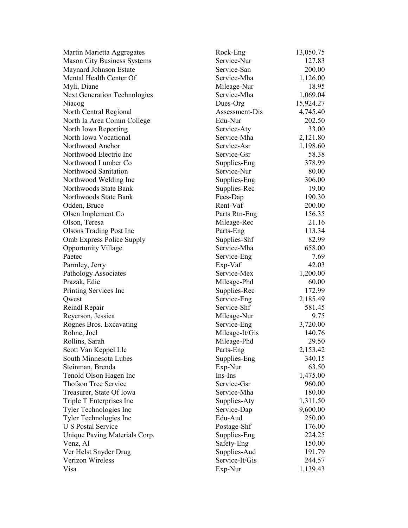| Martin Marietta Aggregates          | Rock-Eng       | 13,050.75 |
|-------------------------------------|----------------|-----------|
| <b>Mason City Business Systems</b>  | Service-Nur    | 127.83    |
| Maynard Johnson Estate              | Service-San    | 200.00    |
| Mental Health Center Of             | Service-Mha    | 1,126.00  |
| Myli, Diane                         | Mileage-Nur    | 18.95     |
| <b>Next Generation Technologies</b> | Service-Mha    | 1,069.04  |
| Niacog                              | Dues-Org       | 15,924.27 |
| North Central Regional              | Assessment-Dis | 4,745.40  |
| North Ia Area Comm College          | Edu-Nur        | 202.50    |
| North Iowa Reporting                | Service-Aty    | 33.00     |
| North Iowa Vocational               | Service-Mha    | 2,121.80  |
| Northwood Anchor                    | Service-Asr    | 1,198.60  |
| Northwood Electric Inc              | Service-Gsr    | 58.38     |
| Northwood Lumber Co                 | Supplies-Eng   | 378.99    |
| Northwood Sanitation                | Service-Nur    | 80.00     |
| Northwood Welding Inc               | Supplies-Eng   | 306.00    |
| Northwoods State Bank               | Supplies-Rec   | 19.00     |
| Northwoods State Bank               | Fees-Dap       | 190.30    |
| Odden, Bruce                        | Rent-Vaf       | 200.00    |
| Olsen Implement Co                  | Parts Rtn-Eng  | 156.35    |
| Olson, Teresa                       | Mileage-Rec    | 21.16     |
| <b>Olsons Trading Post Inc</b>      | Parts-Eng      | 113.34    |
| Omb Express Police Supply           | Supplies-Shf   | 82.99     |
| <b>Opportunity Village</b>          | Service-Mha    | 658.00    |
| Paetec                              | Service-Eng    | 7.69      |
| Parmley, Jerry                      | Exp-Vaf        | 42.03     |
| Pathology Associates                | Service-Mex    | 1,200.00  |
| Prazak, Edie                        | Mileage-Phd    | 60.00     |
| Printing Services Inc               | Supplies-Rec   | 172.99    |
| Qwest                               | Service-Eng    | 2,185.49  |
| Reindl Repair                       | Service-Shf    | 581.45    |
| Reyerson, Jessica                   | Mileage-Nur    | 9.75      |
| Rognes Bros. Excavating             | Service-Eng    | 3,720.00  |
| Rohne, Joel                         | Mileage-It/Gis | 140.76    |
| Rollins, Sarah                      | Mileage-Phd    | 29.50     |
| Scott Van Keppel Llc                | Parts-Eng      | 2,153.42  |
| South Minnesota Lubes               | Supplies-Eng   | 340.15    |
| Steinman, Brenda                    | Exp-Nur        | 63.50     |
| Tenold Olson Hagen Inc              | Ins-Ins        | 1,475.00  |
| <b>Thofson Tree Service</b>         | Service-Gsr    | 960.00    |
| Treasurer, State Of Iowa            | Service-Mha    | 180.00    |
| Triple T Enterprises Inc            | Supplies-Aty   | 1,311.50  |
| Tyler Technologies Inc              | Service-Dap    | 9,600.00  |
| Tyler Technologies Inc              | Edu-Aud        | 250.00    |
| <b>U S Postal Service</b>           |                | 176.00    |
|                                     | Postage-Shf    |           |
| Unique Paving Materials Corp.       | Supplies-Eng   | 224.25    |
| Venz, Al                            | Safety-Eng     | 150.00    |
| Ver Helst Snyder Drug               | Supplies-Aud   | 191.79    |
| Verizon Wireless                    | Service-It/Gis | 244.57    |
| Visa                                | Exp-Nur        | 1,139.43  |